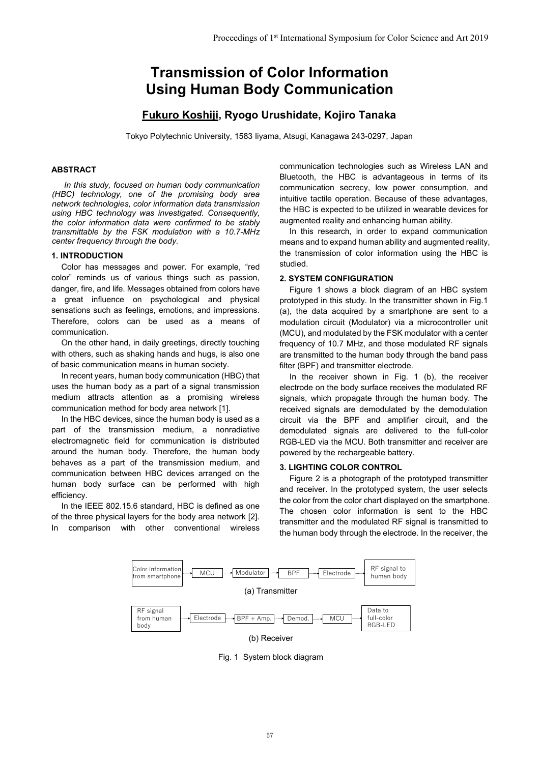# **Transmission of Color Information Using Human Body Communication**

## **Fukuro Koshiji, Ryogo Urushidate, Kojiro Tanaka**

Tokyo Polytechnic University, 1583 Iiyama, Atsugi, Kanagawa 243-0297, Japan

#### **ABSTRACT**

*In this study, focused on human body communication (HBC) technology, one of the promising body area network technologies, color information data transmission using HBC technology was investigated. Consequently, the color information data were confirmed to be stably transmittable by the FSK modulation with a 10.7-MHz center frequency through the body.* 

#### **1. INTRODUCTION**

Color has messages and power. For example, "red color" reminds us of various things such as passion, danger, fire, and life. Messages obtained from colors have a great influence on psychological and physical sensations such as feelings, emotions, and impressions. Therefore, colors can be used as a means of communication.

On the other hand, in daily greetings, directly touching with others, such as shaking hands and hugs, is also one of basic communication means in human society.

In recent years, human body communication (HBC) that uses the human body as a part of a signal transmission medium attracts attention as a promising wireless communication method for body area network [1].

In the HBC devices, since the human body is used as a part of the transmission medium, a nonradiative electromagnetic field for communication is distributed around the human body. Therefore, the human body behaves as a part of the transmission medium, and communication between HBC devices arranged on the human body surface can be performed with high efficiency.

In the IEEE 802.15.6 standard, HBC is defined as one of the three physical layers for the body area network [2]. In comparison with other conventional wireless communication technologies such as Wireless LAN and Bluetooth, the HBC is advantageous in terms of its communication secrecy, low power consumption, and intuitive tactile operation. Because of these advantages, the HBC is expected to be utilized in wearable devices for augmented reality and enhancing human ability.

In this research, in order to expand communication means and to expand human ability and augmented reality, the transmission of color information using the HBC is studied.

#### **2. SYSTEM CONFIGURATION**

Figure 1 shows a block diagram of an HBC system prototyped in this study. In the transmitter shown in Fig.1 (a), the data acquired by a smartphone are sent to a modulation circuit (Modulator) via a microcontroller unit (MCU), and modulated by the FSK modulator with a center frequency of 10.7 MHz, and those modulated RF signals are transmitted to the human body through the band pass filter (BPF) and transmitter electrode.

In the receiver shown in Fig. 1 (b), the receiver electrode on the body surface receives the modulated RF signals, which propagate through the human body. The received signals are demodulated by the demodulation circuit via the BPF and amplifier circuit, and the demodulated signals are delivered to the full-color RGB-LED via the MCU. Both transmitter and receiver are powered by the rechargeable battery.

#### **3. LIGHTING COLOR CONTROL**

Figure 2 is a photograph of the prototyped transmitter and receiver. In the prototyped system, the user selects the color from the color chart displayed on the smartphone. The chosen color information is sent to the HBC transmitter and the modulated RF signal is transmitted to the human body through the electrode. In the receiver, the



Fig. 1 System block diagram